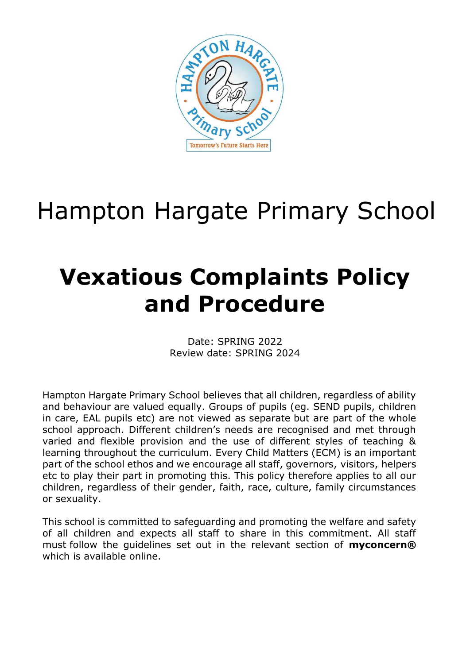

## Hampton Hargate Primary School

## **Vexatious Complaints Policy and Procedure**

Date: SPRING 2022 Review date: SPRING 2024

Hampton Hargate Primary School believes that all children, regardless of ability and behaviour are valued equally. Groups of pupils (eg. SEND pupils, children in care, EAL pupils etc) are not viewed as separate but are part of the whole school approach. Different children's needs are recognised and met through varied and flexible provision and the use of different styles of teaching & learning throughout the curriculum. Every Child Matters (ECM) is an important part of the school ethos and we encourage all staff, governors, visitors, helpers etc to play their part in promoting this. This policy therefore applies to all our children, regardless of their gender, faith, race, culture, family circumstances or sexuality.

This school is committed to safeguarding and promoting the welfare and safety of all children and expects all staff to share in this commitment. All staff must follow the guidelines set out in the relevant section of **myconcern®** which is available online.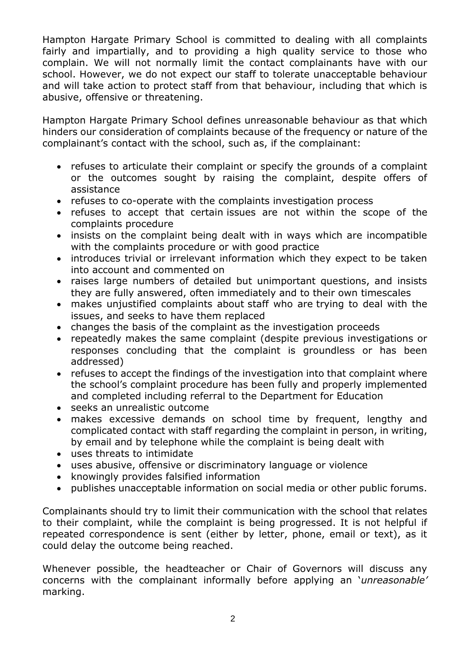Hampton Hargate Primary School is committed to dealing with all complaints fairly and impartially, and to providing a high quality service to those who complain. We will not normally limit the contact complainants have with our school. However, we do not expect our staff to tolerate unacceptable behaviour and will take action to protect staff from that behaviour, including that which is abusive, offensive or threatening.

Hampton Hargate Primary School defines unreasonable behaviour as that which hinders our consideration of complaints because of the frequency or nature of the complainant's contact with the school, such as, if the complainant:

- refuses to articulate their complaint or specify the grounds of a complaint or the outcomes sought by raising the complaint, despite offers of assistance
- refuses to co-operate with the complaints investigation process
- refuses to accept that certain issues are not within the scope of the complaints procedure
- insists on the complaint being dealt with in ways which are incompatible with the complaints procedure or with good practice
- introduces trivial or irrelevant information which they expect to be taken into account and commented on
- raises large numbers of detailed but unimportant questions, and insists they are fully answered, often immediately and to their own timescales
- makes unjustified complaints about staff who are trying to deal with the issues, and seeks to have them replaced
- changes the basis of the complaint as the investigation proceeds
- repeatedly makes the same complaint (despite previous investigations or responses concluding that the complaint is groundless or has been addressed)
- refuses to accept the findings of the investigation into that complaint where the school's complaint procedure has been fully and properly implemented and completed including referral to the Department for Education
- seeks an unrealistic outcome
- makes excessive demands on school time by frequent, lengthy and complicated contact with staff regarding the complaint in person, in writing, by email and by telephone while the complaint is being dealt with
- uses threats to intimidate
- uses abusive, offensive or discriminatory language or violence
- knowingly provides falsified information
- publishes unacceptable information on social media or other public forums.

Complainants should try to limit their communication with the school that relates to their complaint, while the complaint is being progressed. It is not helpful if repeated correspondence is sent (either by letter, phone, email or text), as it could delay the outcome being reached.

Whenever possible, the headteacher or Chair of Governors will discuss any concerns with the complainant informally before applying an '*unreasonable'* marking.